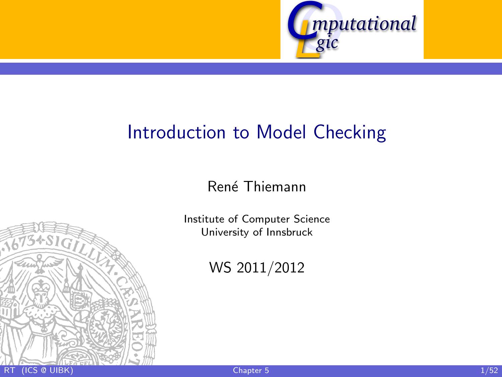

# [Introduction to Model Checking](http://cl-informatik.uibk.ac.at/teaching/ws10/imc)

René Thiemann

[Institute of Computer Science](http://informatik.uibk.ac.at/) [University of Innsbruck](http://www.uibk.ac.at/)

<span id="page-0-0"></span>WS 2011/2012

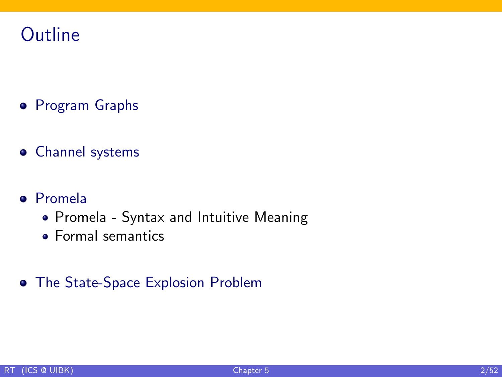# **Outline**

- **•** [Program Graphs](#page-4-0)
- [Channel systems](#page-14-0)
- [Promela](#page-31-0)
	- [Promela Syntax and Intuitive Meaning](#page-32-0)
	- **[Formal semantics](#page-38-0)**
- [The State-Space Explosion Problem](#page-46-0)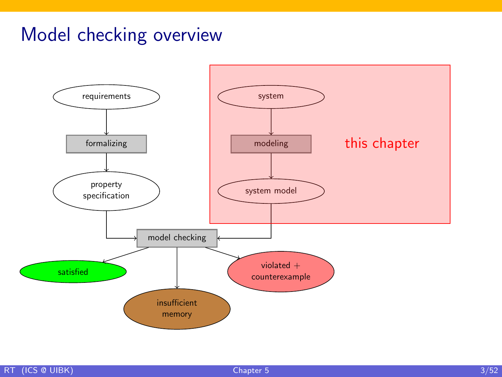# Model checking overview

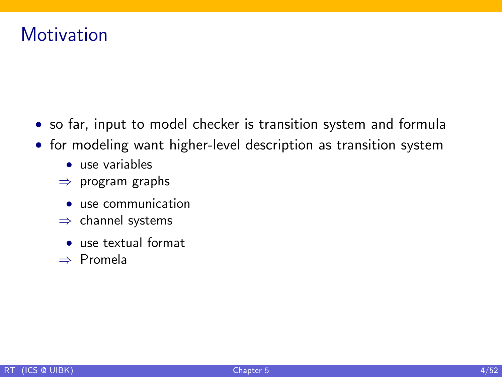# **Motivation**

- so far, input to model checker is transition system and formula
- for modeling want higher-level description as transition system
	- use variables
	- $\Rightarrow$  program graphs
		- **use communication**
	- $\Rightarrow$  channel systems
		- use textual format
	- ⇒ Promela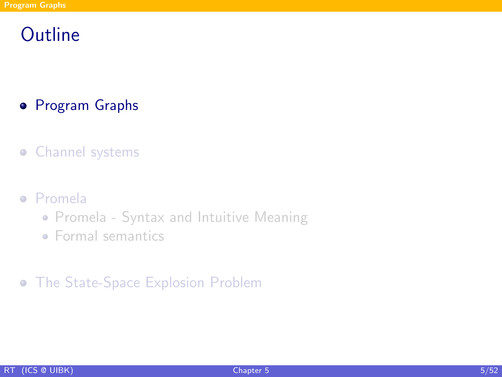# **Outline**

- **•** [Program Graphs](#page-4-0)
- **•** [Channel systems](#page-14-0)
- [Promela](#page-31-0)
	- [Promela Syntax and Intuitive Meaning](#page-32-0)
	- [Formal semantics](#page-38-0)
- <span id="page-4-0"></span>**•** [The State-Space Explosion Problem](#page-46-0)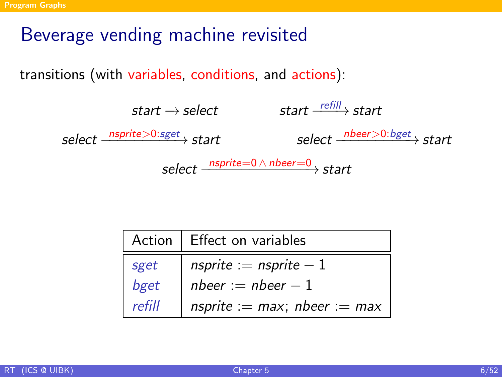# Beverage vending machine revisited

transitions (with variables, conditions, and actions):



|        | Action   Effect on variables      |  |  |  |  |
|--------|-----------------------------------|--|--|--|--|
| sget   | nsprite := nsprite $-1$           |  |  |  |  |
| bget   | nbeer := nbeer $-1$               |  |  |  |  |
| refill | nsprite := $max$ ; nbeer := $max$ |  |  |  |  |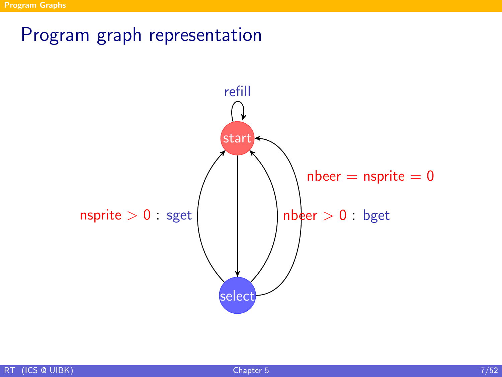# Program graph representation

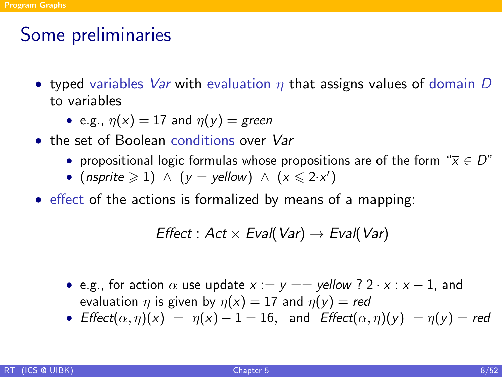# Some preliminaries

- typed variables Var with evaluation  $\eta$  that assigns values of domain D to variables
	- e.g.,  $\eta(x) = 17$  and  $\eta(y) =$  green
- the set of Boolean conditions over Var
	- propositional logic formulas whose propositions are of the form " $\overline{x} \in \overline{D}$ "
	- (nsprite  $\geq 1$ )  $\wedge$  (y = yellow)  $\wedge$  (x  $\leq 2 \cdot x'$ )
- effect of the actions is formalized by means of a mapping:

$$
Effect: Act \times Eva (Var) \rightarrow Eva (Var)
$$

- e.g., for action  $\alpha$  use update  $x := y ==$  vellow ? 2 · x : x 1, and evaluation  $\eta$  is given by  $\eta(x) = 17$  and  $\eta(y) = red$
- Effect $(\alpha, \eta)(x) = \eta(x) 1 = 16$ , and Effect $(\alpha, \eta)(y) = \eta(y) =$ red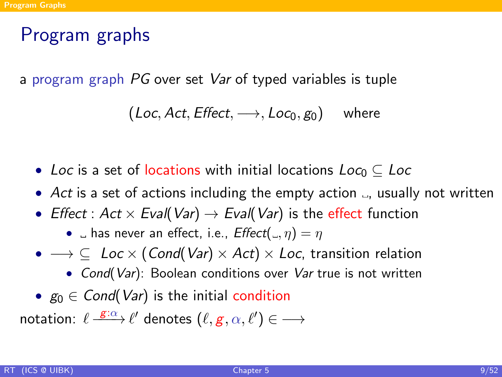# Program graphs

a program graph PG over set Var of typed variables is tuple

$$
(\mathit{Loc}, \mathit{Act}, \mathit{Effect}, \longrightarrow, \mathit{Loc}_0, g_0) \quad \text{ where }
$$

- Loc is a set of locations with initial locations Loco  $\subset$  Loc
- Act is a set of actions including the empty action  $\Box$ , usually not written
- Effect : Act  $\times$  Eval(Var)  $\rightarrow$  Eval(Var) is the effect function

•  $\Box$  has never an effect, i.e.,  $Effect(\Box, \eta) = \eta$ 

- $\rightarrow \subseteq$  Loc  $\times$  (Cond(Var)  $\times$  Act)  $\times$  Loc, transition relation
	- Cond(Var): Boolean conditions over Var true is not written
- $g_0 \in Cond(Var)$  is the initial condition

notation:  $\ell \stackrel{\mathcal{E}: \alpha}{\longrightarrow} \ell'$  denotes  $(\ell,g,\alpha,\ell') \in \longrightarrow$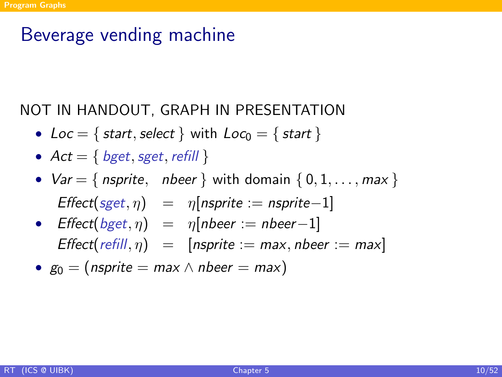## Beverage vending machine

#### NOT IN HANDOUT, GRAPH IN PRESENTATION

- Loc = { start, select } with  $Loc_0 = \{ start \}$
- $Act = \{ bget, sget, refill \}$
- $Var = \{$  nsprite, nbeer  $\}$  with domain  $\{0, 1, \ldots, max\}$  $Effect(sget, \eta) = \eta(nsprite := nsprite-1)$
- Effect $(bget, \eta) = \eta[nbeer := nbeer-1]$ Effect(refill,  $\eta$ ) = [nsprite := max, nbeer := max]

• 
$$
g_0 = (nsprite = max \land nbeer = max)
$$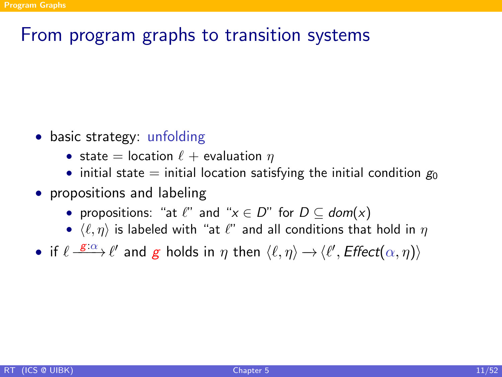# From program graphs to transition systems

- basic strategy: unfolding
	- state = location  $\ell$  + evaluation  $\eta$
	- initial state = initial location satisfying the initial condition  $g_0$
- propositions and labeling
	- propositions: "at  $\ell$ " and " $x \in D$ " for  $D \subset dom(x)$
	- $\langle \ell, \eta \rangle$  is labeled with "at  $\ell$ " and all conditions that hold in  $\eta$
- if  $\ell \stackrel{g:\alpha}{\longrightarrow} \ell'$  and g holds in  $\eta$  then  $\langle \ell, \eta \rangle \rightarrow \langle \ell', E \text{ffect}(\alpha, \eta) \rangle$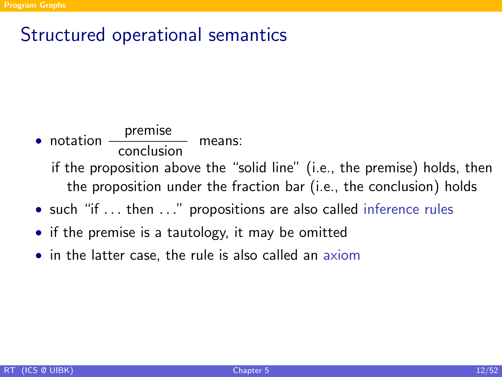# Structured operational semantics

# $\bullet$  notation  $\frac{\text{premise}}{\text{conclusion}}$  means: if the proposition above the "solid line" (i.e., the premise) holds, then the proposition under the fraction bar (i.e., the conclusion) holds

- such "if ... then ..." propositions are also called inference rules
- if the premise is a tautology, it may be omitted
- in the latter case, the rule is also called an axiom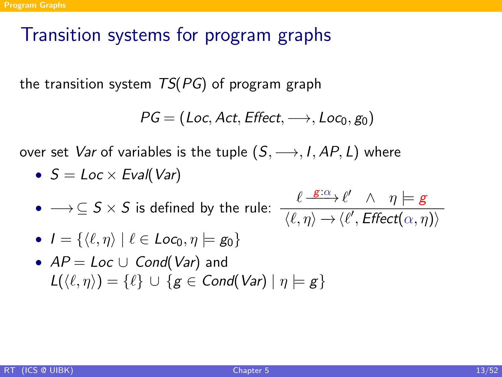# Transition systems for program graphs

the transition system  $TS(PG)$  of program graph

$$
\mathit{PG} = (\mathit{Loc}, \mathit{Act}, \mathit{Effect}, \longrightarrow, \mathit{Loc}_0, \mathit{g}_0)
$$

over set *Var* of variables is the tuple  $(S, \longrightarrow, I, AP, L)$  where

•  $S = Loc \times Eval(Var)$ 

• 
$$
\longrightarrow
$$
  $\subseteq$  *S*  $\times$  *S* is defined by the rule:  $\frac{\ell}{\ell}$ 

$$
\frac{\ell \xrightarrow{\mathbf{g}:\alpha} \ell' \wedge \eta \models \mathbf{g}}{\langle \ell, \eta \rangle \rightarrow \langle \ell', \mathit{Effect}(\alpha, \eta) \rangle}
$$

• 
$$
I = \{ \langle \ell, \eta \rangle \mid \ell \in \text{Loc}_0, \eta \models \text{g}_0 \}
$$

• 
$$
AP = Loc \cup Cond(Var)
$$
 and  
\n $L(\langle \ell, \eta \rangle) = \{\ell\} \cup \{g \in Cond(Var) \mid \eta \models g\}$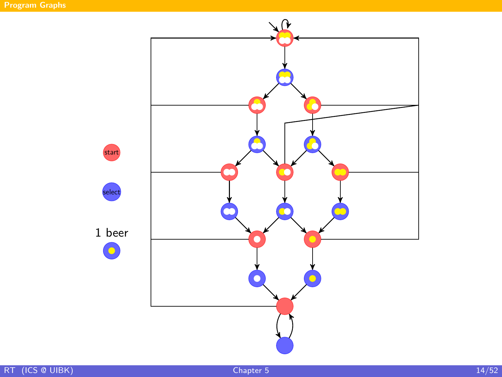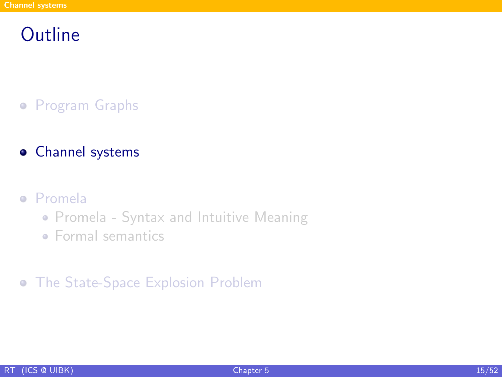## **Outline**

- **•** [Program Graphs](#page-4-0)
- [Channel systems](#page-14-0)

#### [Promela](#page-31-0)

- [Promela Syntax and Intuitive Meaning](#page-32-0)
- <span id="page-14-0"></span>• [Formal semantics](#page-38-0)

#### [The State-Space Explosion Problem](#page-46-0)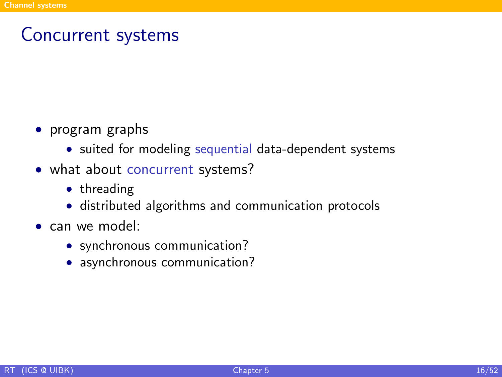### Concurrent systems

- program graphs
	- suited for modeling sequential data-dependent systems
- what about concurrent systems?
	- threading
	- distributed algorithms and communication protocols
- can we model:
	- synchronous communication?
	- asynchronous communication?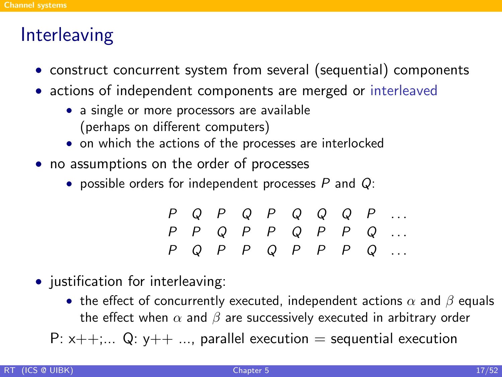## **Interleaving**

- construct concurrent system from several (sequential) components
- actions of independent components are merged or interleaved
	- a single or more processors are available (perhaps on different computers)
	- on which the actions of the processes are interlocked
- no assumptions on the order of processes
	- possible orders for independent processes  $P$  and  $Q$ :

|  |  |  |  | $P Q P Q P Q Q Q Q P $                                                           |
|--|--|--|--|----------------------------------------------------------------------------------|
|  |  |  |  | $P \quad P \quad Q \quad P \quad P \quad Q \quad P \quad P \quad Q \quad \ldots$ |
|  |  |  |  | $P Q P P Q P P P P Q $                                                           |

- justification for interleaving:
	- the effect of concurrently executed, independent actions  $\alpha$  and  $\beta$  equals the effect when  $\alpha$  and  $\beta$  are successively executed in arbitrary order

P:  $x++$ ;... Q:  $y++$  ..., parallel execution = sequential execution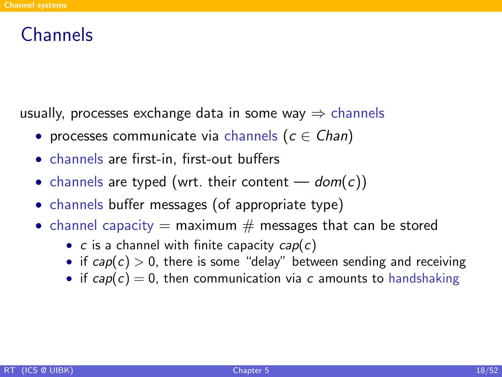### **Channels**

usually, processes exchange data in some way  $\Rightarrow$  channels

- processes communicate via channels  $(c \in Chan)$
- channels are first-in, first-out buffers
- channels are typed (wrt. their content  $-$  dom(c))
- channels buffer messages (of appropriate type)
- channel capacity  $=$  maximum  $#$  messages that can be stored
	- $c$  is a channel with finite capacity  $cap(c)$
	- if  $cap(c) > 0$ , there is some "delay" between sending and receiving
	- if  $cap(c) = 0$ , then communication via c amounts to handshaking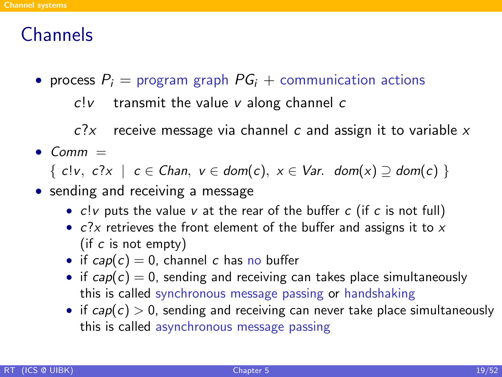### **Channels**

• process  $P_i$  = program graph  $PG_i$  + communication actions

 $c!v$  transmit the value v along channel c

 $c$ ? $x$  receive message via channel c and assign it to variable x

 $•$  Comm  $=$ 

 $\{ \text{ cl } v, \text{ c?x } | \text{ } c \in \text{Chan}, \text{ } v \in \text{dom}(c), \text{ } x \in \text{Var}. \text{ dom}(x) \supseteq \text{dom}(c) \}$ 

- sending and receiving a message
	- $c!v$  puts the value v at the rear of the buffer  $c$  (if  $c$  is not full)
	- $c$ ?x retrieves the front element of the buffer and assigns it to  $x$ (if  $c$  is not empty)
	- if  $cap(c) = 0$ , channel c has no buffer
	- if  $cap(c) = 0$ , sending and receiving can takes place simultaneously this is called synchronous message passing or handshaking
	- if  $cap(c) > 0$ , sending and receiving can never take place simultaneously this is called asynchronous message passing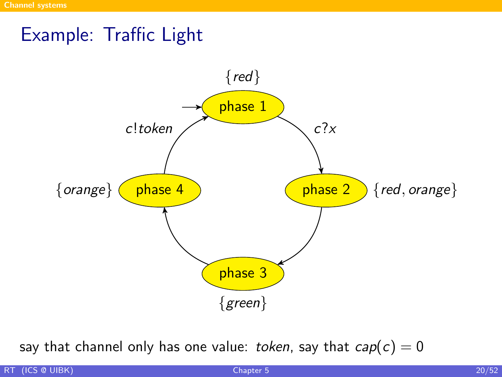### Example: Traffic Light



say that channel only has one value: token, say that  $cap(c) = 0$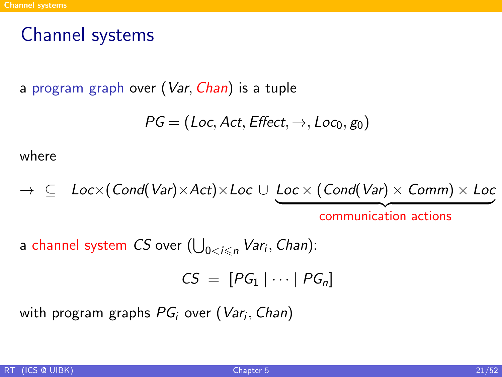## Channel systems

a program graph over (Var, Chan) is a tuple

$$
\mathit{PG} = (\mathit{Loc}, \mathit{Act}, \mathit{Effect}, \rightarrow, \mathit{Loc}_0, \mathit{g}_0)
$$

where

$$
\rightarrow \subseteq Loc \times (Cond(Var) \times Act) \times Loc \cup \underbrace{Loc \times (Cond(Var) \times Comm) \times Loc}_{communication actions}
$$

a channel system  $CS$  over  $(\bigcup_{0 < i \leqslant n} \mathit{Var}_i, \mathit{Chan})$ :

$$
CS = [PG_1 | \cdots | PG_n]
$$

with program graphs  $PG_{i}$  over  $(\mathit{Var}_{i}, \mathit{Chan})$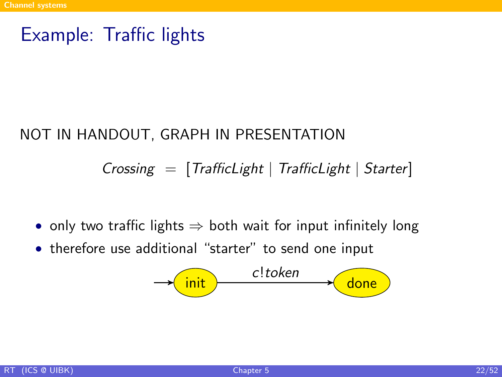### Example: Traffic lights

#### NOT IN HANDOUT, GRAPH IN PRESENTATION

#### $Crossing = [TrafficLight \mid TrafficLight]$

- only two traffic lights  $\Rightarrow$  both wait for input infinitely long
- therefore use additional "starter" to send one input

$$
\longrightarrow \boxed{\mathsf{init}} \qquad \qquad \textit{c!token} \qquad \qquad \boxed{\mathsf{done}}
$$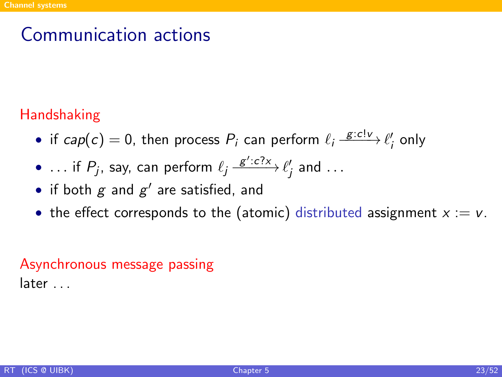# Communication actions

#### Handshaking

- if  $cap(c) = 0$ , then process  $P_i$  can perform  $\ell_i \xrightarrow{g:c!\nu} \ell'_i$  only
- ... if  $P_j$ , say, can perform  $\ell_j \xrightarrow{g':c?x} \ell'_j$  and  $\dots$
- if both  $g$  and  $g'$  are satisfied, and
- the effect corresponds to the (atomic) distributed assignment  $x := v$ .

#### Asynchronous message passing later . . .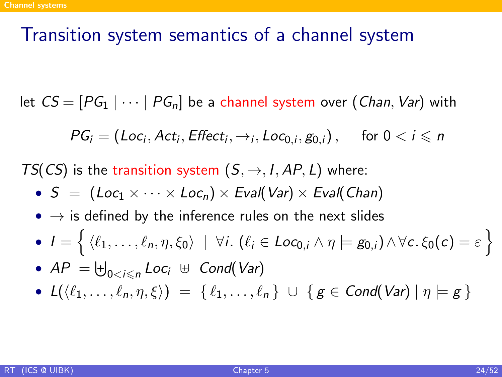### Transition system semantics of a channel system

let  $CS = [PG_1 | \cdots | PG_n]$  be a channel system over (Chan, Var) with

$$
PG_i = (Loc_i, Act_i, Effect_i, \rightarrow_i, Loc_{0,i}, g_{0,i}), \text{ for } 0 < i \leq n
$$

TS(CS) is the transition system  $(S, \rightarrow, I, AP, L)$  where:

- $S = (Loc_1 \times \cdots \times Loc_n) \times eval(Var) \times eval(Chan)$
- $\bullet \rightarrow$  is defined by the inference rules on the next slides
- $\bullet$   $I = \left\{ \, \langle \ell_1, \ldots, \ell_n, \eta, \xi_0 \rangle \, \mid \, \forall i. \ (\ell_i \in Loc_{0,i} \land \eta \models g_{0,i}) \land \forall c. \, \xi_0(c) = \varepsilon \, \right\}$
- $AP = \biguplus_{0 < i \leqslant n} Loc_i \ \uplus \ Cond(Var)$
- $L(\langle \ell_1, \ldots, \ell_n, \eta, \xi \rangle) = \{ \ell_1, \ldots, \ell_n \} \cup \{ g \in \text{Cond}(\text{Var}) \mid \eta \models g \}$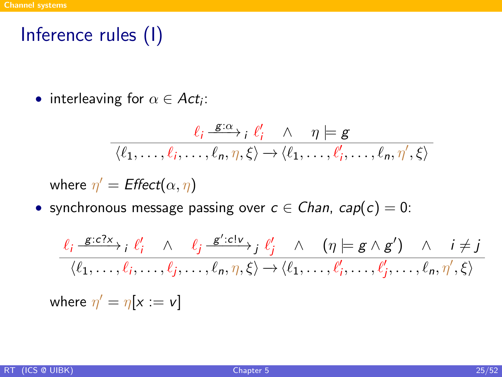# Inference rules (I)

• interleaving for  $\alpha \in Act_i$ :

$$
\frac{\ell_i \stackrel{\mathcal{E}: \alpha}{\longrightarrow}_i \ell'_i \quad \wedge \quad \eta \models \mathcal{E}}{\langle \ell_1, \ldots, \ell_i, \ldots, \ell_n, \eta, \xi \rangle \rightarrow \langle \ell_1, \ldots, \ell'_i, \ldots, \ell_n, \eta', \xi \rangle}
$$

where  $\eta' = \text{Effect}(\alpha, \eta)$ 

• synchronous message passing over  $c \in \mathcal{C}$  han,  $cap(c) = 0$ :

$$
\frac{\ell_i \xrightarrow{g:c?x} i \ell'_i \wedge \ell_j \xrightarrow{g':c!\nu} j \ell'_j \wedge (\eta \models g \wedge g') \wedge i \neq j}{\langle \ell_1, \dots, \ell_i, \dots, \ell_j, \dots, \ell_n, \eta, \xi \rangle \rightarrow \langle \ell_1, \dots, \ell'_i, \dots, \ell'_j, \dots, \ell_n, \eta', \xi \rangle}
$$
\nwhere  $\eta' = \eta[x := v]$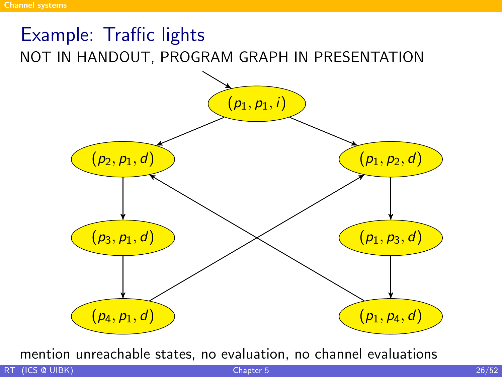# Example: Traffic lights NOT IN HANDOUT, PROGRAM GRAPH IN PRESENTATION



mention unreachable states, no evaluation, no channel evaluations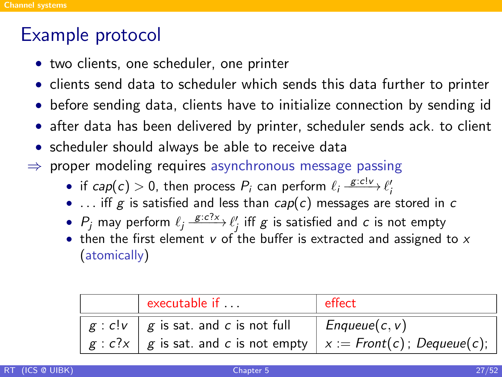### Example protocol

- two clients, one scheduler, one printer
- clients send data to scheduler which sends this data further to printer
- before sending data, clients have to initialize connection by sending id
- after data has been delivered by printer, scheduler sends ack. to client
- scheduler should always be able to receive data
- $\Rightarrow$  proper modeling requires asynchronous message passing
	- if  $cap(c) > 0$ , then process  $P_i$  can perform  $\ell_i \xrightarrow{g: cl \nu} \ell'_i$
	- ... iff g is satisfied and less than  $cap(c)$  messages are stored in c
	- $P_j$  may perform  $\ell_j \xrightarrow{g:c?x} \ell'_j$  iff  $g$  is satisfied and  $c$  is not empty
	- then the first element  $v$  of the buffer is extracted and assigned to  $x$ (atomically)

| executable if                                                         | effect          |  |  |  |
|-----------------------------------------------------------------------|-----------------|--|--|--|
| $g : c!v \mid g$ is sat. and c is not full                            | $Enqueue(c, v)$ |  |  |  |
| $g : c?x$   g is sat. and c is not empty   x := Front(c); Dequeue(c); |                 |  |  |  |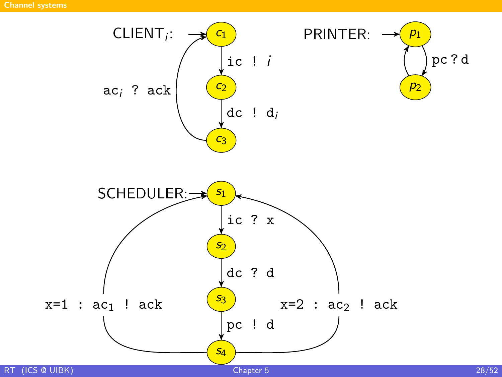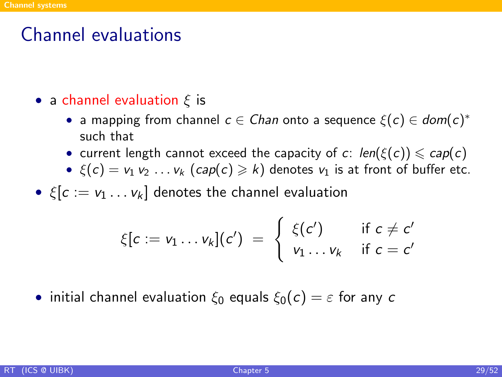# Channel evaluations

- a channel evaluation  $\xi$  is
	- a mapping from channel  $c \in \mathcal{C}$ han onto a sequence  $\xi(c) \in \mathit{dom}(c)^*$ such that
	- current length cannot exceed the capacity of c:  $len(\xi(c)) \le cap(c)$
	- $\xi(c) = v_1 v_2 \ldots v_k (cap(c) \ge k)$  denotes  $v_1$  is at front of buffer etc.
- $\xi[c] = v_1 \dots v_k$  denotes the channel evaluation

$$
\xi[c := v_1 \dots v_k](c') = \begin{cases} \xi(c') & \text{if } c \neq c' \\ v_1 \dots v_k & \text{if } c = c' \end{cases}
$$

• initial channel evaluation  $\xi_0$  equals  $\xi_0(c) = \varepsilon$  for any c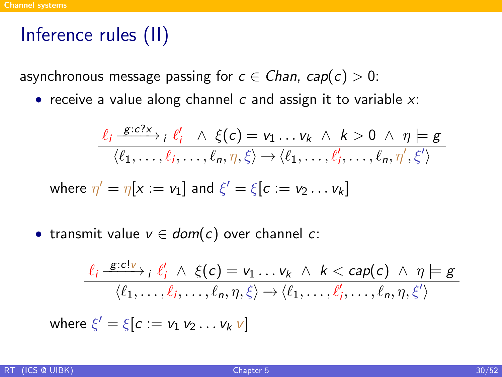# Inference rules (II)

asynchronous message passing for  $c \in Chan$ ,  $cap(c) > 0$ :

• receive a value along channel  $c$  and assign it to variable  $x$ :

$$
\frac{\ell_i \xrightarrow{g:c?x} i \ell'_i \wedge \xi(c) = v_1 \dots v_k \wedge k > 0 \wedge \eta \models g}{\langle \ell_1, \dots, \ell_i, \dots, \ell_n, \eta, \xi \rangle \rightarrow \langle \ell_1, \dots, \ell'_i, \dots, \ell_n, \eta', \xi' \rangle}
$$
  
where  $\eta' = \eta[x := v_1]$  and  $\xi' = \xi[c := v_2 \dots v_k]$ 

• transmit value  $v \in dom(c)$  over channel c:

$$
\frac{\ell_i \xrightarrow{g:c!v} i \ell'_i \wedge \xi(c) = v_1 \dots v_k \wedge k < cap(c) \wedge \eta \models g}{\langle \ell_1, \dots, \ell_i, \dots, \ell_n, \eta, \xi \rangle \rightarrow \langle \ell_1, \dots, \ell'_i, \dots, \ell_n, \eta, \xi' \rangle}
$$
\nwhere  $\xi' = \xi[c := v_1 v_2 \dots v_k v]$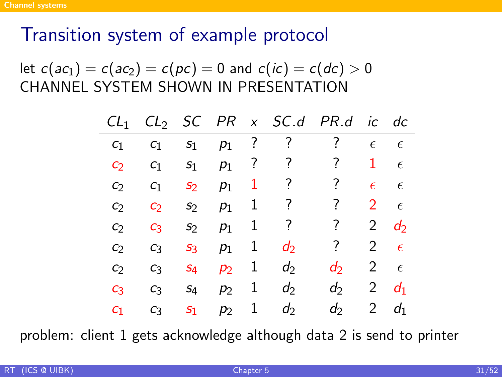# Transition system of example protocol

let  $c(ac_1) = c(ac_2) = c(pc) = 0$  and  $c(ic) = c(dc) > 0$ CHANNEL SYSTEM SHOWN IN PRESENTATION

| CL <sub>1</sub>   |                |                  |       |   | $CL_2$ SC PR $x$ SC.d PR.d |       |               | ic dc          |
|-------------------|----------------|------------------|-------|---|----------------------------|-------|---------------|----------------|
| C <sub>1</sub>    | C <sub>1</sub> | $S_1$            | $p_1$ | ? | ?                          | ?     | $\epsilon$    | $\epsilon$     |
| C <sub>2</sub>    | C <sub>1</sub> | S <sub>1</sub>   | $p_1$ | 7 | ?                          | 7     | 1             | $\epsilon$     |
| C <sub>2</sub>    | C <sub>1</sub> | S <sub>2</sub>   | $p_1$ | 1 | ?                          | ?     | $\epsilon$    | $\epsilon$     |
| C)                | C <sub>2</sub> | S <sub>2</sub>   | $p_1$ | 1 | ?                          | ?     | $\mathcal{L}$ | $\epsilon$     |
| C <sub>2</sub>    | $C_3$          | S <sub>2</sub>   | $p_1$ | 1 | ?                          | ?     | 2             | $d_2$          |
| $\mathcal{C}_{2}$ | $C_3$          | $S_3$            | $p_1$ | 1 | $d_2$                      | ?     | 2             | $\epsilon$     |
| C <sub>2</sub>    | $C_3$          | $S_4$            | $p_2$ | 1 | d                          | d     | 2             | $\epsilon$     |
| $C_3$             | $C_3$          | S <sub>4</sub>   | $p_2$ | 1 | $d_2$                      | $d_2$ | 2             | d <sub>1</sub> |
| $c_1$             | $C_3$          | $\mathfrak{s}_1$ | $p_2$ | 1 | $d_2$                      | $d_2$ | 2             | d <sub>1</sub> |

problem: client 1 gets acknowledge although data 2 is send to printer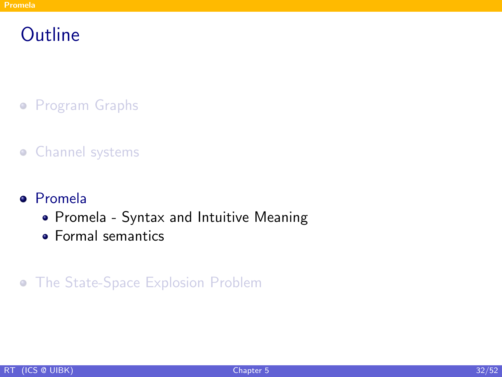# **Outline**

- **•** [Program Graphs](#page-4-0)
- **•** [Channel systems](#page-14-0)
- [Promela](#page-31-0)
	- [Promela Syntax and Intuitive Meaning](#page-32-0)
	- **•** [Formal semantics](#page-38-0)
- <span id="page-31-0"></span>[The State-Space Explosion Problem](#page-46-0)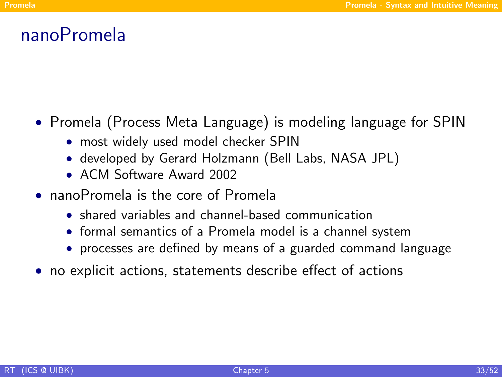### nanoPromela

- Promela (Process Meta Language) is modeling language for SPIN
	- most widely used model checker SPIN
	- developed by Gerard Holzmann (Bell Labs, NASA JPL)
	- ACM Software Award 2002
- nanoPromela is the core of Promela
	- shared variables and channel-based communication
	- formal semantics of a Promela model is a channel system
	- processes are defined by means of a guarded command language
- <span id="page-32-0"></span>• no explicit actions, statements describe effect of actions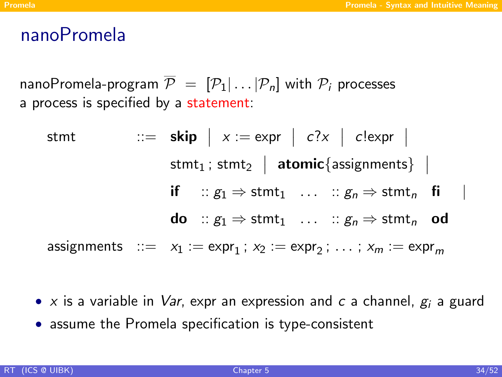### nanoPromela

nanoPromela-program  $\overline{P} = [P_1 | ... | P_n]$  with  $P_i$  processes a process is specified by a statement:

\n
$$
\begin{aligned}\n &\text{stmt} & \quad \text{::= } \text{skip} \mid x := \text{expr} \mid c?x \mid c!\text{expr} \mid \\
 &\text{stmt}_1; \text{stmt}_2 \mid \text{atomic} \{\text{assignments}\} \mid \\
 &\text{if} \quad \text{:: } g_1 \Rightarrow \text{stmt}_1 \quad \text{...} \quad \text{:: } g_n \Rightarrow \text{stmt}_n \quad \text{fi} \mid \\
 &\text{do} \quad \text{:: } g_1 \Rightarrow \text{stmt}_1 \quad \text{...} \quad \text{:: } g_n \Rightarrow \text{stmt}_n \quad \text{od} \\
 &\text{assignments} \quad \text{::= } x_1 := \text{expr}_1; \ x_2 := \text{expr}_2; \ \text{...} \ ; \ x_m := \text{expr}_m\n \end{aligned}
$$
\n

- x is a variable in *Var*, expr an expression and c a channel,  $g_i$  a guard
- assume the Promela specification is type-consistent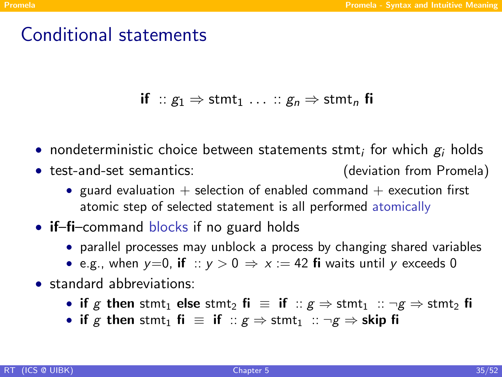## Conditional statements

if ::  $g_1 \Rightarrow$  stmt<sub>1</sub> ... ::  $g_n \Rightarrow$  stmt<sub>n</sub> fi

- $\bullet\,$  nondeterministic choice between statements stmt $_i$  for which  $\bm{g}_i$  holds
- test-and-set semantics: (deviation from Promela)
	- guard evaluation  $+$  selection of enabled command  $+$  execution first atomic step of selected statement is all performed atomically
- **if–fi–command blocks if no guard holds** 
	- parallel processes may unblock a process by changing shared variables
	- e.g., when  $y=0$ , if ::  $y>0 \Rightarrow x:=42$  fi waits until y exceeds 0
- standard abbreviations:
	- if g then stmt<sub>1</sub> else stmt<sub>2</sub> fi  $\equiv$  if  $\therefore g \Rightarrow$  stmt<sub>1</sub>  $\therefore \neg g \Rightarrow$  stmt<sub>2</sub> fi
	- if g then stmt<sub>1</sub> fi  $\equiv$  if  $\therefore g \Rightarrow$  stmt<sub>1</sub>  $\therefore \neg g \Rightarrow$  skip fi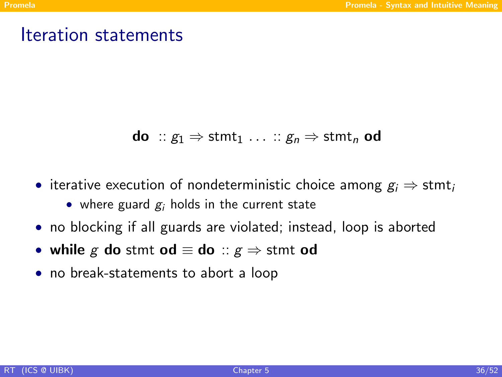### Iteration statements

**do** :: 
$$
g_1 \Rightarrow
$$
  $stmt_1 \dots :: g_n \Rightarrow$   $stmt_n$  **od**

- iterative execution of nondeterministic choice among  $g_i \Rightarrow$  stmt
	- where guard  $g_i$  holds in the current state
- no blocking if all guards are violated; instead, loop is aborted
- while g do stmt od  $\equiv$  do ::  $g \Rightarrow$  stmt od
- no break-statements to abort a loop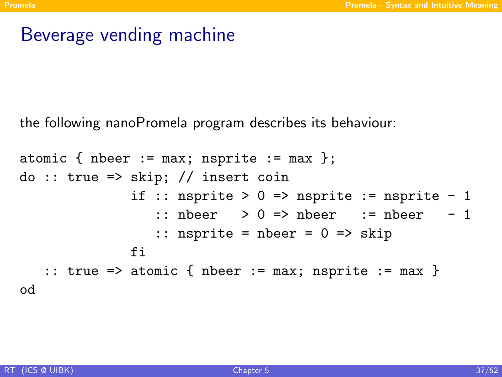# Beverage vending machine

the following nanoPromela program describes its behaviour:

```
atomic { nbeer := max; nsprite := max };
do :: true \Rightarrow skip; // insert coinif :: nsprite > 0 => nsprite := nsprite - 1
                   \therefore nbeer > 0 => nbeer := nbeer - 1
                   :: nsprite = nbeer = 0 \Rightarrow skip
               fi
   :: true => atomic { nbeer := max; nsprite := max }
od
```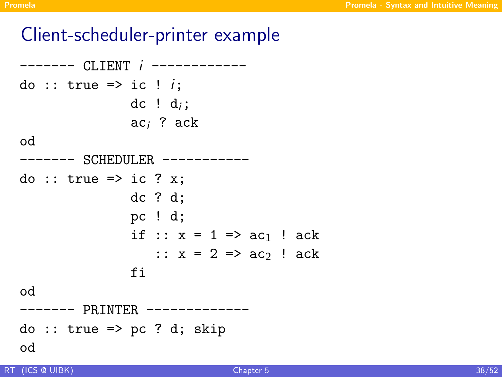## Client-scheduler-printer example

------- CLIENT i ----------- do :: true => ic !  $i$ ; dc !  $d_i$ ; ac<sup>i</sup> ? ack od ------- SCHEDULER ---------- do :: true => ic ? x; dc ? d; pc ! d; if ::  $x = 1 \Rightarrow ac_1$  ! ack ::  $x = 2 \Rightarrow ac_2$  ! ack fi od ------- PRINTER ------------  $do :: true => pc ? d; skip$ od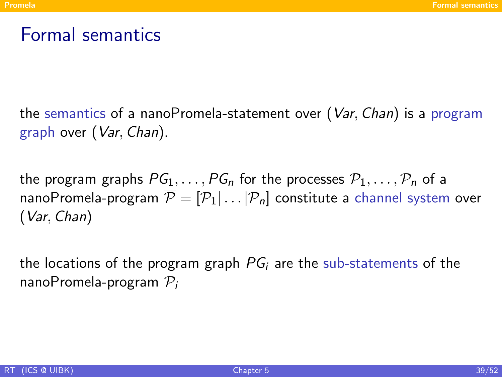# Formal semantics

the semantics of a nanoPromela-statement over  $(Var, Chan)$  is a program graph over (Var, Chan).

the program graphs  $PG_1, \ldots, PG_n$  for the processes  $P_1, \ldots, P_n$  of a nanoPromela-program  $\overline{\mathcal{P}} = [\mathcal{P}_1 | \dots | \mathcal{P}_n]$  constitute a channel system over (Var, Chan)

<span id="page-38-0"></span>the locations of the program graph  $PG_i$  are the sub-statements of the nanoPromela-program  $P_i$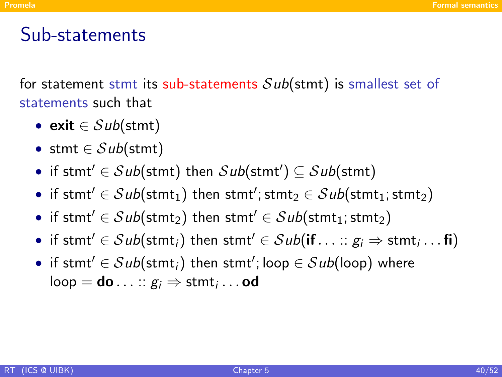### Sub-statements

for statement stmt its sub-statements  $Sub(\text{stmt})$  is smallest set of statements such that

- exit  $\in Sub(\text{stmt})$
- stmt  $\in Sub({\sfstmt})$
- if stmt'  $\in$  Sub(stmt) then  $\mathcal{S}ub(\textsf{stmt'}) \subseteq \mathcal{S}ub(\textsf{stmt})$
- $\bullet \,\,$  if stmt'  $\in\mathcal{S}\mathit{ub}(\mathsf{stmt}_1)$  then stmt'; stmt $_2\in\mathcal{S}\mathit{ub}(\mathsf{stmt}_1;\mathsf{stmt}_2)$
- if stmt'  $\in Sub(\text{stmt}_2)$  then stmt'  $\in Sub(\text{stmt}_1; \text{stmt}_2)$
- if stmt'  $\in$   $Sub({\sf{stmt}}_i)$  then stmt'  $\in$   $Sub({\sf{if}} \dots :: g_i \Rightarrow {\sf{stmt}}_i ...$   ${\sf{fi}})$
- $\bullet\;$  if stmt $'\in\mathcal{S}{\it ub}({\sf start}_i)$  then stmt $';$  loop  $\in\mathcal{S}{\it ub}({\sf loop})$  where  $\mathsf{loop} = \mathsf{do} \ldots :: g_i \Rightarrow \mathsf{stmt}_i \ldots \mathsf{od}$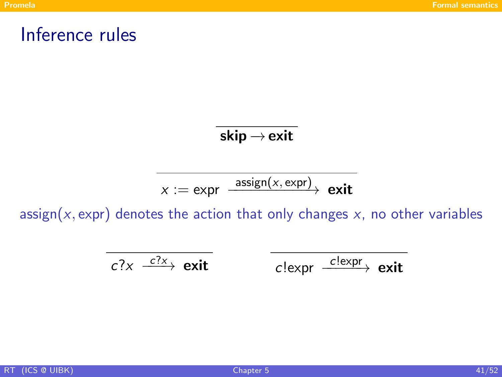#### Inference rules

skip  $\rightarrow$  exit

$$
x := \text{expr} \xrightarrow{\text{assign}(x, \text{expr})} \text{exit}
$$

assign( $x$ , expr) denotes the action that only changes  $x$ , no other variables

$$
c?x \xrightarrow{c?x}
$$
 exit  $c!\exp\left(\frac{c!\exp}{c'}\right)$  exit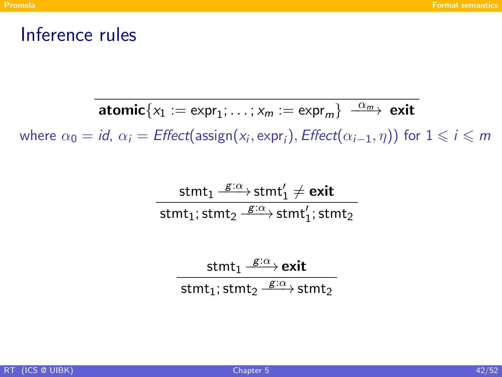### Inference rules

$$
\text{atomic}\{x_1:=\text{expr}_1; \ldots; x_m:=\text{expr}_m\}\xrightarrow{\alpha_m} \text{exit}
$$

where  $\alpha_0 = \textit{id}$ ,  $\alpha_i = \textit{Effect}(\textsf{assign}(x_i, \textsf{expr}_i), \textit{Effect}(\alpha_{i-1}, \eta))$  for  $1 \leqslant i \leqslant m$ 

$$
\frac{\text{stmt}_1 \stackrel{\text{g}:\alpha}{\longrightarrow} \text{stmt}_1' \neq \text{exit}}{\text{stmt}_1; \text{stmt}_2 \stackrel{\text{g}:\alpha}{\longrightarrow} \text{stmt}_1'; \text{stmt}_2}
$$

$$
\frac{\text{stmt}_1 \xrightarrow{g:\alpha} \text{exit}}{\text{stmt}_1; \text{stmt}_2 \xrightarrow{g:\alpha} \text{stmt}_2}
$$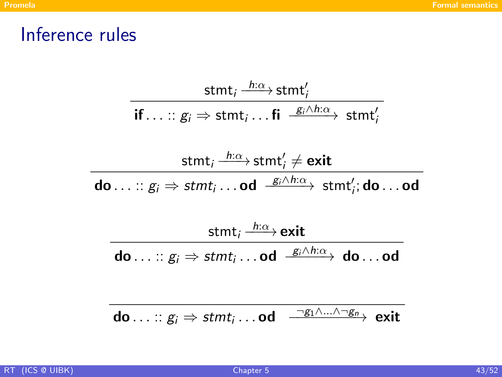# Inference rules

$$
\frac{\mathsf{stmt}_i \xrightarrow{h:\alpha} \mathsf{stmt}'_i}{\mathsf{if} \dots :: g_i \Rightarrow \mathsf{stmt}_i \dots \mathsf{fi} \xrightarrow{g_i \wedge h:\alpha} \mathsf{stmt}'_i}
$$

$$
\frac{\mathsf{stmt}_i \xrightarrow{h:\alpha} \mathsf{stmt}'_i \neq \mathsf{exit}}{\mathsf{do} \dots :: g_i \Rightarrow \mathsf{stmt}_i \dots \mathsf{od} \xrightarrow{g_i \wedge h:\alpha} \mathsf{stmt}'_i; \mathsf{do} \dots \mathsf{od}}
$$

$$
\frac{\text{stmt}_i \xrightarrow{h:\alpha} \text{exit}}{\text{do} \dots :: g_i \Rightarrow \text{stmt}_i \dots \text{od} \xrightarrow{g_i \wedge h:\alpha} \text{do} \dots \text{od}}
$$

$$
\textbf{do} \ldots :: g_i \Rightarrow \textit{stmt}_i \ldots \textbf{od} \quad \xrightarrow{\neg g_1 \wedge \ldots \wedge \neg g_n} \textbf{exit}
$$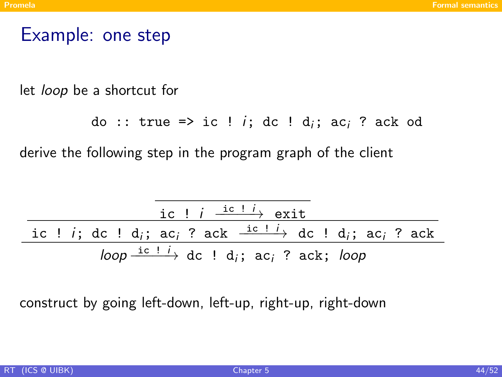### Example: one step

let loop be a shortcut for

```
do :: true => ic ! i; dc ! d<sub>i</sub>; ac<sub>i</sub> ? ack od
```
derive the following step in the program graph of the client

$$
\frac{\text{ic} \quad i \quad \frac{\text{ic} \quad i \quad \frac{\text{ic} \quad i}{\text{ic} \quad \text{c}} \quad \text{exit}}{\text{ic} \quad \text{ic} \quad \text{ic} \quad \text{ic} \quad \text{c} \quad \text{c} \quad \text{c} \quad \text{c} \quad \text{c} \quad \text{c} \quad \text{c} \quad \text{c} \quad \text{c} \quad \text{c} \quad \text{c} \quad \text{c} \quad \text{c}}{\text{loop} \xrightarrow{\text{ic} \quad \text{ic} \quad \text{ic} \quad \text{c} \quad \text{c} \quad \text{c} \quad \text{c} \quad \text{c} \quad \text{c} \quad \text{c} \quad \text{c} \quad \text{c} \quad \text{c} \quad \text{c} \quad \text{c} \quad \text{c} \quad \text{c} \quad \text{c} \quad \text{c} \quad \text{c} \quad \text{c}}}
$$

construct by going left-down, left-up, right-up, right-down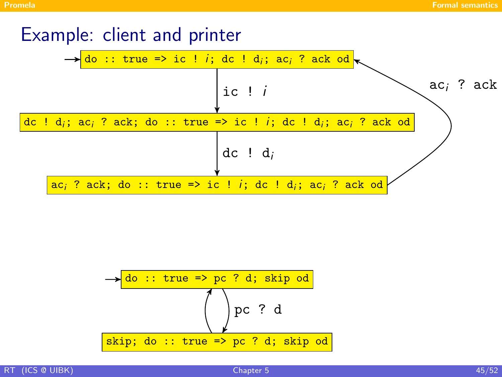#### Example: client and printer



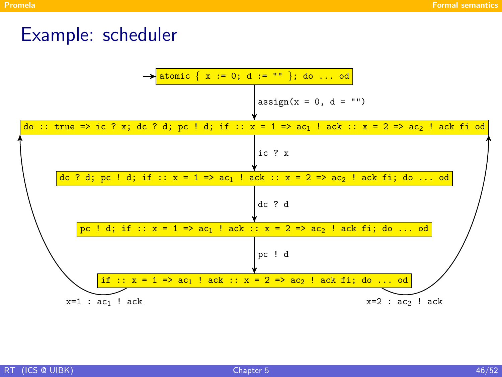### Example: scheduler

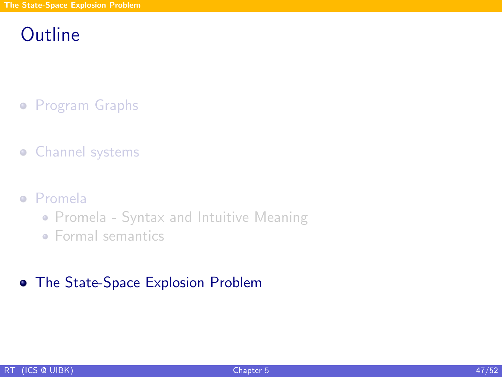# **Outline**

- **•** [Program Graphs](#page-4-0)
- **•** [Channel systems](#page-14-0)
- [Promela](#page-31-0)
	- [Promela Syntax and Intuitive Meaning](#page-32-0)
	- [Formal semantics](#page-38-0)

#### <span id="page-46-0"></span>[The State-Space Explosion Problem](#page-46-0)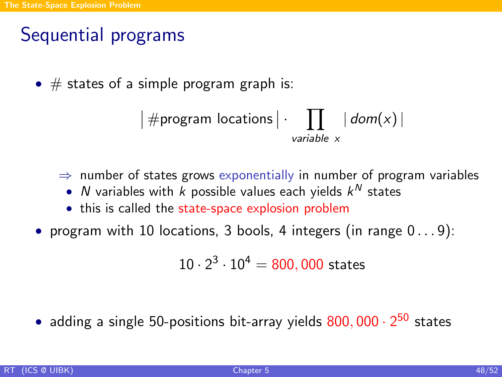# Sequential programs

•  $\#$  states of a simple program graph is:

$$
|\# \text{program locations} | \cdot \prod_{\text{variable } x} | \text{ dom}(x) |
$$

 $\Rightarrow$  number of states grows exponentially in number of program variables

- $N$  variables with  $k$  possible values each yields  $k^N$  states
- this is called the state-space explosion problem

• program with 10 locations, 3 bools, 4 integers (in range  $0 \ldots 9$ ):

$$
10 \cdot 2^3 \cdot 10^4 = 800,000
$$
 states

• adding a single 50-positions bit-array yields  $800,000 \cdot 2^{50}$  states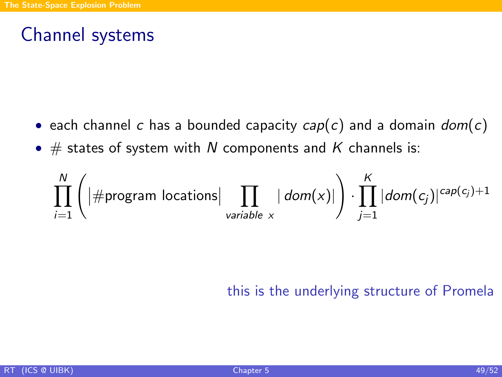# Channel systems

- each channel c has a bounded capacity  $cap(c)$  and a domain  $dom(c)$
- $\#$  states of system with N components and K channels is:

$$
\prod_{i=1}^{N} \left( \left| \# \text{program locations} \right| \prod_{\text{variable } x} \left| \text{ dom}(x) \right| \right) \cdot \prod_{j=1}^{K} \left| \text{dom}(c_j) \right|^{cap(c_j)+1}
$$

this is the underlying structure of Promela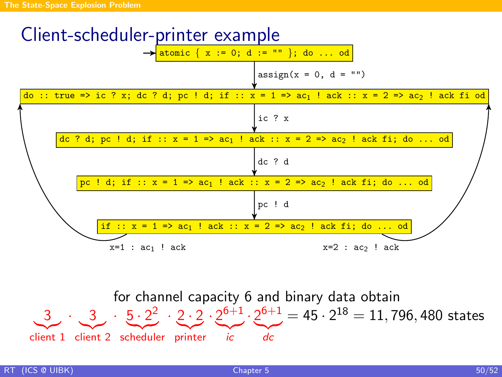

for channel capacity 6 and binary data obtain  $3$  ,  $\cdot$  ,  $3$  ,  $\cdot$  ,  $5 \cdot 2^2$  ,  $\cdot$  2  $\cdot$  2  $\cdot$  2<sup>6+1</sup> , 2<sup>6+1</sup> = 45  $\cdot$  2<sup>18</sup> = 11, 796, 480 states client 1 client 2 scheduler printer *ic* dc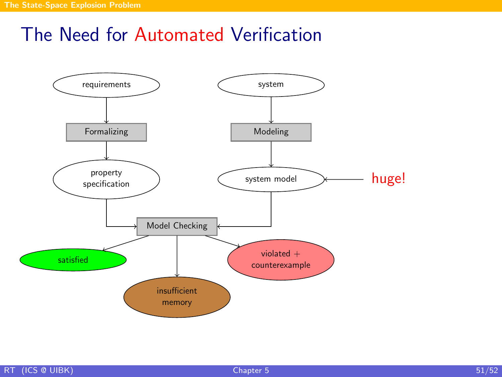# The Need for Automated Verification